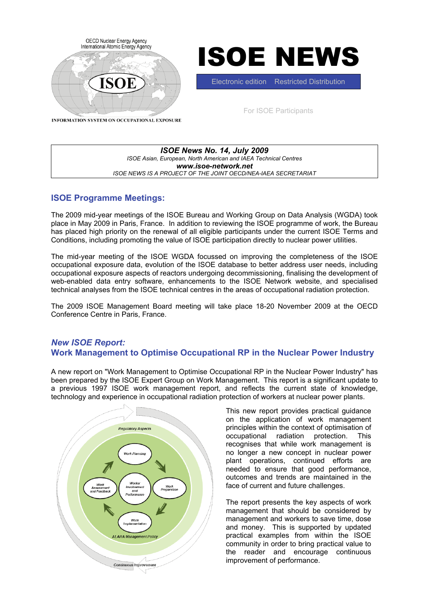

*ISOE News No. 14, July 2009 ISOE Asian, European, North American and IAEA Technical Centres www.isoe-network.net ISOE NEWS IS A PROJECT OF THE JOINT OECD/NEA-IAEA SECRETARIAT*

# **ISOE Programme Meetings:**

The 2009 mid-year meetings of the ISOE Bureau and Working Group on Data Analysis (WGDA) took place in May 2009 in Paris, France. In addition to reviewing the ISOE programme of work, the Bureau has placed high priority on the renewal of all eligible participants under the current ISOE Terms and Conditions, including promoting the value of ISOE participation directly to nuclear power utilities.

The mid-year meeting of the ISOE WGDA focussed on improving the completeness of the ISOE occupational exposure data, evolution of the ISOE database to better address user needs, including occupational exposure aspects of reactors undergoing decommissioning, finalising the development of web-enabled data entry software, enhancements to the ISOE Network website, and specialised technical analyses from the ISOE technical centres in the areas of occupational radiation protection.

The 2009 ISOE Management Board meeting will take place 18-20 November 2009 at the OECD Conference Centre in Paris, France.

# *New ISOE Report:*  **Work Management to Optimise Occupational RP in the Nuclear Power Industry**

A new report on "Work Management to Optimise Occupational RP in the Nuclear Power Industry" has been prepared by the ISOE Expert Group on Work Management. This report is a significant update to a previous 1997 ISOE work management report, and reflects the current state of knowledge, technology and experience in occupational radiation protection of workers at nuclear power plants.



This new report provides practical guidance on the application of work management principles within the context of optimisation of occupational radiation protection. This recognises that while work management is no longer a new concept in nuclear power plant operations, continued efforts are needed to ensure that good performance, outcomes and trends are maintained in the face of current and future challenges.

The report presents the key aspects of work management that should be considered by management and workers to save time, dose and money. This is supported by updated practical examples from within the ISOE community in order to bring practical value to the reader and encourage continuous improvement of performance.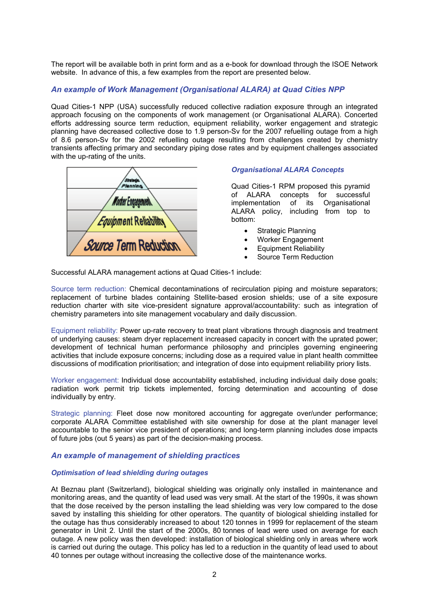The report will be available both in print form and as a e-book for download through the ISOE Network website. In advance of this, a few examples from the report are presented below.

## *An example of Work Management (Organisational ALARA) at Quad Cities NPP*

Quad Cities-1 NPP (USA) successfully reduced collective radiation exposure through an integrated approach focusing on the components of work management (or Organisational ALARA). Concerted efforts addressing source term reduction, equipment reliability, worker engagement and strategic planning have decreased collective dose to 1.9 person-Sv for the 2007 refuelling outage from a high of 8.6 person-Sv for the 2002 refuelling outage resulting from challenges created by chemistry transients affecting primary and secondary piping dose rates and by equipment challenges associated with the up-rating of the units.



## *Organisational ALARA Concepts*

Quad Cities-1 RPM proposed this pyramid of ALARA concepts for successful implementation of its Organisational ALARA policy, including from top to bottom:

- Strategic Planning
- Worker Engagement
- Equipment Reliability
- Source Term Reduction

Successful ALARA management actions at Quad Cities-1 include:

Source term reduction: Chemical decontaminations of recirculation piping and moisture separators; replacement of turbine blades containing Stellite-based erosion shields; use of a site exposure reduction charter with site vice-president signature approval/accountability: such as integration of chemistry parameters into site management vocabulary and daily discussion.

Equipment reliability: Power up-rate recovery to treat plant vibrations through diagnosis and treatment of underlying causes: steam dryer replacement increased capacity in concert with the uprated power; development of technical human performance philosophy and principles governing engineering activities that include exposure concerns; including dose as a required value in plant health committee discussions of modification prioritisation; and integration of dose into equipment reliability priory lists.

Worker engagement: Individual dose accountability established, including individual daily dose goals; radiation work permit trip tickets implemented, forcing determination and accounting of dose individually by entry.

Strategic planning: Fleet dose now monitored accounting for aggregate over/under performance; corporate ALARA Committee established with site ownership for dose at the plant manager level accountable to the senior vice president of operations; and long-term planning includes dose impacts of future jobs (out 5 years) as part of the decision-making process.

## *An example of management of shielding practices*

#### *Optimisation of lead shielding during outages*

At Beznau plant (Switzerland), biological shielding was originally only installed in maintenance and monitoring areas, and the quantity of lead used was very small. At the start of the 1990s, it was shown that the dose received by the person installing the lead shielding was very low compared to the dose saved by installing this shielding for other operators. The quantity of biological shielding installed for the outage has thus considerably increased to about 120 tonnes in 1999 for replacement of the steam generator in Unit 2. Until the start of the 2000s, 80 tonnes of lead were used on average for each outage. A new policy was then developed: installation of biological shielding only in areas where work is carried out during the outage. This policy has led to a reduction in the quantity of lead used to about 40 tonnes per outage without increasing the collective dose of the maintenance works.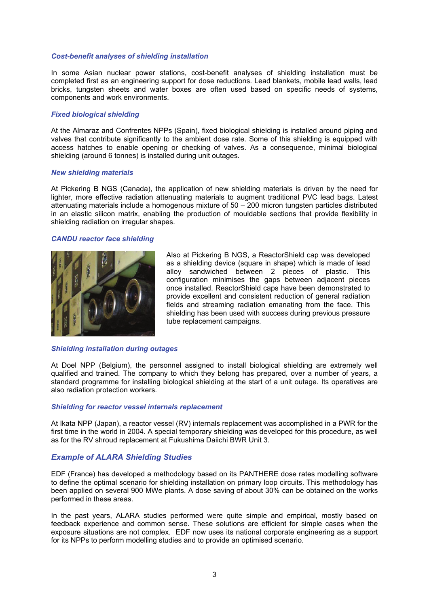#### *Cost-benefit analyses of shielding installation*

In some Asian nuclear power stations, cost-benefit analyses of shielding installation must be completed first as an engineering support for dose reductions. Lead blankets, mobile lead walls, lead bricks, tungsten sheets and water boxes are often used based on specific needs of systems, components and work environments.

#### *Fixed biological shielding*

At the Almaraz and Confrentes NPPs (Spain), fixed biological shielding is installed around piping and valves that contribute significantly to the ambient dose rate. Some of this shielding is equipped with access hatches to enable opening or checking of valves. As a consequence, minimal biological shielding (around 6 tonnes) is installed during unit outages.

#### *New shielding materials*

At Pickering B NGS (Canada), the application of new shielding materials is driven by the need for lighter, more effective radiation attenuating materials to augment traditional PVC lead bags. Latest attenuating materials include a homogenous mixture of 50 – 200 micron tungsten particles distributed in an elastic silicon matrix, enabling the production of mouldable sections that provide flexibility in shielding radiation on irregular shapes.

#### *CANDU reactor face shielding*



Also at Pickering B NGS, a ReactorShield cap was developed as a shielding device (square in shape) which is made of lead alloy sandwiched between 2 pieces of plastic. This configuration minimises the gaps between adjacent pieces once installed. ReactorShield caps have been demonstrated to provide excellent and consistent reduction of general radiation fields and streaming radiation emanating from the face. This shielding has been used with success during previous pressure tube replacement campaigns.

#### *Shielding installation during outages*

At Doel NPP (Belgium), the personnel assigned to install biological shielding are extremely well qualified and trained. The company to which they belong has prepared, over a number of years, a standard programme for installing biological shielding at the start of a unit outage. Its operatives are also radiation protection workers.

#### *Shielding for reactor vessel internals replacement*

At Ikata NPP (Japan), a reactor vessel (RV) internals replacement was accomplished in a PWR for the first time in the world in 2004. A special temporary shielding was developed for this procedure, as well as for the RV shroud replacement at Fukushima Daiichi BWR Unit 3.

## *Example of ALARA Shielding Studies*

EDF (France) has developed a methodology based on its PANTHERE dose rates modelling software to define the optimal scenario for shielding installation on primary loop circuits. This methodology has been applied on several 900 MWe plants. A dose saving of about 30% can be obtained on the works performed in these areas.

In the past years, ALARA studies performed were quite simple and empirical, mostly based on feedback experience and common sense. These solutions are efficient for simple cases when the exposure situations are not complex. EDF now uses its national corporate engineering as a support for its NPPs to perform modelling studies and to provide an optimised scenario.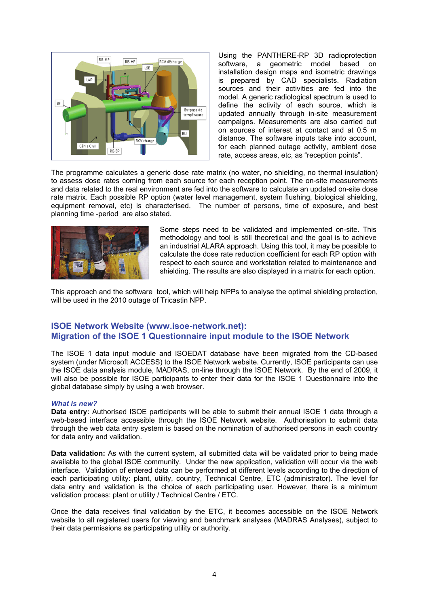

Using the PANTHERE-RP 3D radioprotection software, a geometric model based on installation design maps and isometric drawings is prepared by CAD specialists. Radiation sources and their activities are fed into the model. A generic radiological spectrum is used to define the activity of each source, which is updated annually through in-site measurement campaigns. Measurements are also carried out on sources of interest at contact and at 0.5 m distance. The software inputs take into account, for each planned outage activity, ambient dose rate, access areas, etc, as "reception points".

The programme calculates a generic dose rate matrix (no water, no shielding, no thermal insulation) to assess dose rates coming from each source for each reception point. The on-site measurements and data related to the real environment are fed into the software to calculate an updated on-site dose rate matrix. Each possible RP option (water level management, system flushing, biological shielding, equipment removal, etc) is characterised. The number of persons, time of exposure, and best planning time -period are also stated.



Some steps need to be validated and implemented on-site. This methodology and tool is still theoretical and the goal is to achieve an industrial ALARA approach. Using this tool, it may be possible to calculate the dose rate reduction coefficient for each RP option with respect to each source and workstation related to maintenance and shielding. The results are also displayed in a matrix for each option.

This approach and the software tool, which will help NPPs to analyse the optimal shielding protection, will be used in the 2010 outage of Tricastin NPP.

## **ISOE Network Website (www.isoe-network.net): Migration of the ISOE 1 Questionnaire input module to the ISOE Network**

The ISOE 1 data input module and ISOEDAT database have been migrated from the CD-based system (under Microsoft ACCESS) to the ISOE Network website. Currently, ISOE participants can use the ISOE data analysis module, MADRAS, on-line through the ISOE Network. By the end of 2009, it will also be possible for ISOE participants to enter their data for the ISOE 1 Questionnaire into the global database simply by using a web browser.

#### *What is new?*

**Data entry:** Authorised ISOE participants will be able to submit their annual ISOE 1 data through a web-based interface accessible through the ISOE Network website. Authorisation to submit data through the web data entry system is based on the nomination of authorised persons in each country for data entry and validation.

**Data validation:** As with the current system, all submitted data will be validated prior to being made available to the global ISOE community. Under the new application, validation will occur via the web interface. Validation of entered data can be performed at different levels according to the direction of each participating utility: plant, utility, country, Technical Centre, ETC (administrator). The level for data entry and validation is the choice of each participating user. However, there is a minimum validation process: plant or utility / Technical Centre / ETC.

Once the data receives final validation by the ETC, it becomes accessible on the ISOE Network website to all registered users for viewing and benchmark analyses (MADRAS Analyses), subject to their data permissions as participating utility or authority.